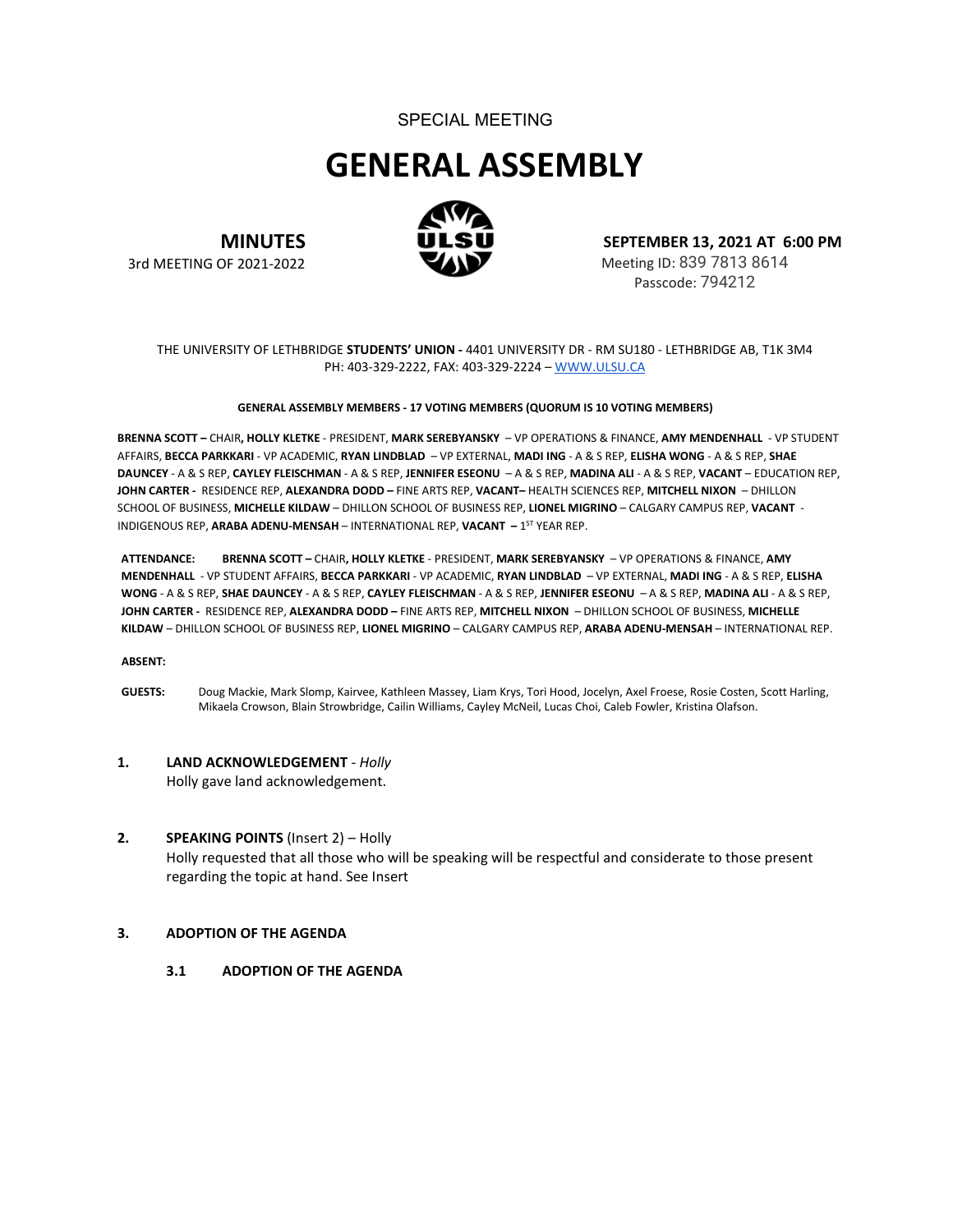## SPECIAL MEETING

# **GENERAL ASSEMBLY**



**MINUTES** 3rd MEETING OF 2021-2022

**SEPTEMBER 13, 2021 AT 6:00 PM** Meeting ID: 839 7813 8614 Passcode: 794212

THE UNIVERSITY OF LETHBRIDGE **STUDENTS' UNION -** 4401 UNIVERSITY DR - RM SU180 - LETHBRIDGE AB, T1K 3M4 PH: 403-329-2222, FAX: 403-329-2224 – [WWW.ULSU.CA](http://www.ulsu.ca/)

#### **GENERAL ASSEMBLY MEMBERS - 17 VOTING MEMBERS (QUORUM IS 10 VOTING MEMBERS)**

**BRENNA SCOTT –** CHAIR**, HOLLY KLETKE** - PRESIDENT, **MARK SEREBYANSKY** – VP OPERATIONS & FINANCE, **AMY MENDENHALL** - VP STUDENT AFFAIRS, **BECCA PARKKARI** - VP ACADEMIC, **RYAN LINDBLAD** – VP EXTERNAL, **MADI ING** - A & S REP, **ELISHA WONG** - A & S REP, **SHAE DAUNCEY** - A & S REP, **CAYLEY FLEISCHMAN** - A & S REP, **JENNIFER ESEONU** – A & S REP, **MADINA ALI** - A & S REP, **VACANT** – EDUCATION REP, **JOHN CARTER -** RESIDENCE REP, **ALEXANDRA DODD –** FINE ARTS REP, **VACANT–** HEALTH SCIENCES REP, **MITCHELL NIXON** – DHILLON SCHOOL OF BUSINESS, **MICHELLE KILDAW** – DHILLON SCHOOL OF BUSINESS REP, **LIONEL MIGRINO** – CALGARY CAMPUS REP, **VACANT** - INDIGENOUS REP, **ARABA ADENU-MENSAH** – INTERNATIONAL REP, **VACANT –** 1ST YEAR REP.

**ATTENDANCE: BRENNA SCOTT –** CHAIR**, HOLLY KLETKE** - PRESIDENT, **MARK SEREBYANSKY** – VP OPERATIONS & FINANCE, **AMY MENDENHALL** - VP STUDENT AFFAIRS, **BECCA PARKKARI** - VP ACADEMIC, **RYAN LINDBLAD** – VP EXTERNAL, **MADI ING** - A & S REP, **ELISHA WONG** - A & S REP, **SHAE DAUNCEY** - A & S REP, **CAYLEY FLEISCHMAN** - A & S REP, **JENNIFER ESEONU** – A & S REP, **MADINA ALI** - A & S REP, **JOHN CARTER -** RESIDENCE REP, **ALEXANDRA DODD –** FINE ARTS REP, **MITCHELL NIXON** – DHILLON SCHOOL OF BUSINESS, **MICHELLE KILDAW** – DHILLON SCHOOL OF BUSINESS REP, **LIONEL MIGRINO** – CALGARY CAMPUS REP, **ARABA ADENU-MENSAH** – INTERNATIONAL REP.

#### **ABSENT:**

- **GUESTS:** Doug Mackie, Mark Slomp, Kairvee, Kathleen Massey, Liam Krys, Tori Hood, Jocelyn, Axel Froese, Rosie Costen, Scott Harling, Mikaela Crowson, Blain Strowbridge, Cailin Williams, Cayley McNeil, Lucas Choi, Caleb Fowler, Kristina Olafson.
- **1. LAND ACKNOWLEDGEMENT** *- Holly* Holly gave land acknowledgement.
- **2. SPEAKING POINTS** (Insert 2) Holly Holly requested that all those who will be speaking will be respectful and considerate to those present regarding the topic at hand. See Insert

## **3. ADOPTION OF THE AGENDA**

**3.1 ADOPTION OF THE AGENDA**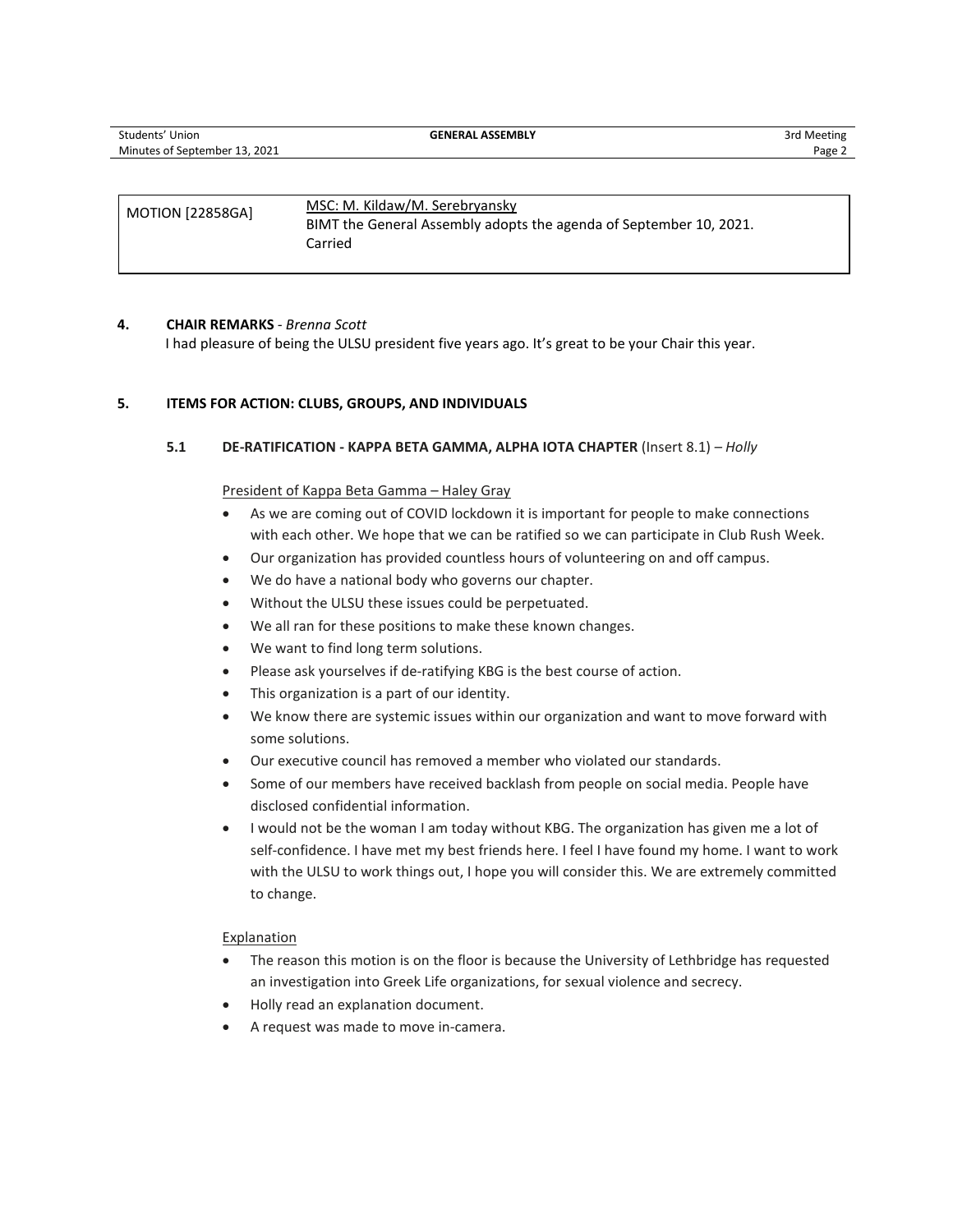| <b>MOTION [22858GA]</b> | MSC: M. Kildaw/M. Serebryansky<br>BIMT the General Assembly adopts the agenda of September 10, 2021. |
|-------------------------|------------------------------------------------------------------------------------------------------|
|                         | Carried                                                                                              |

## **4. CHAIR REMARKS** *- Brenna Scott*

I had pleasure of being the ULSU president five years ago. It's great to be your Chair this year.

## **5. ITEMS FOR ACTION: CLUBS, GROUPS, AND INDIVIDUALS**

**5.1 DE-RATIFICATION - KAPPA BETA GAMMA, ALPHA IOTA CHAPTER** (Insert 8.1) *– Holly*

## President of Kappa Beta Gamma – Haley Gray

- As we are coming out of COVID lockdown it is important for people to make connections with each other. We hope that we can be ratified so we can participate in Club Rush Week.
- Our organization has provided countless hours of volunteering on and off campus.
- We do have a national body who governs our chapter.
- Without the ULSU these issues could be perpetuated.
- We all ran for these positions to make these known changes.
- We want to find long term solutions.
- Please ask yourselves if de-ratifying KBG is the best course of action.
- This organization is a part of our identity.
- We know there are systemic issues within our organization and want to move forward with some solutions.
- Our executive council has removed a member who violated our standards.
- Some of our members have received backlash from people on social media. People have disclosed confidential information.
- I would not be the woman I am today without KBG. The organization has given me a lot of self-confidence. I have met my best friends here. I feel I have found my home. I want to work with the ULSU to work things out, I hope you will consider this. We are extremely committed to change.

## **Explanation**

- The reason this motion is on the floor is because the University of Lethbridge has requested an investigation into Greek Life organizations, for sexual violence and secrecy.
- Holly read an explanation document.
- A request was made to move in-camera.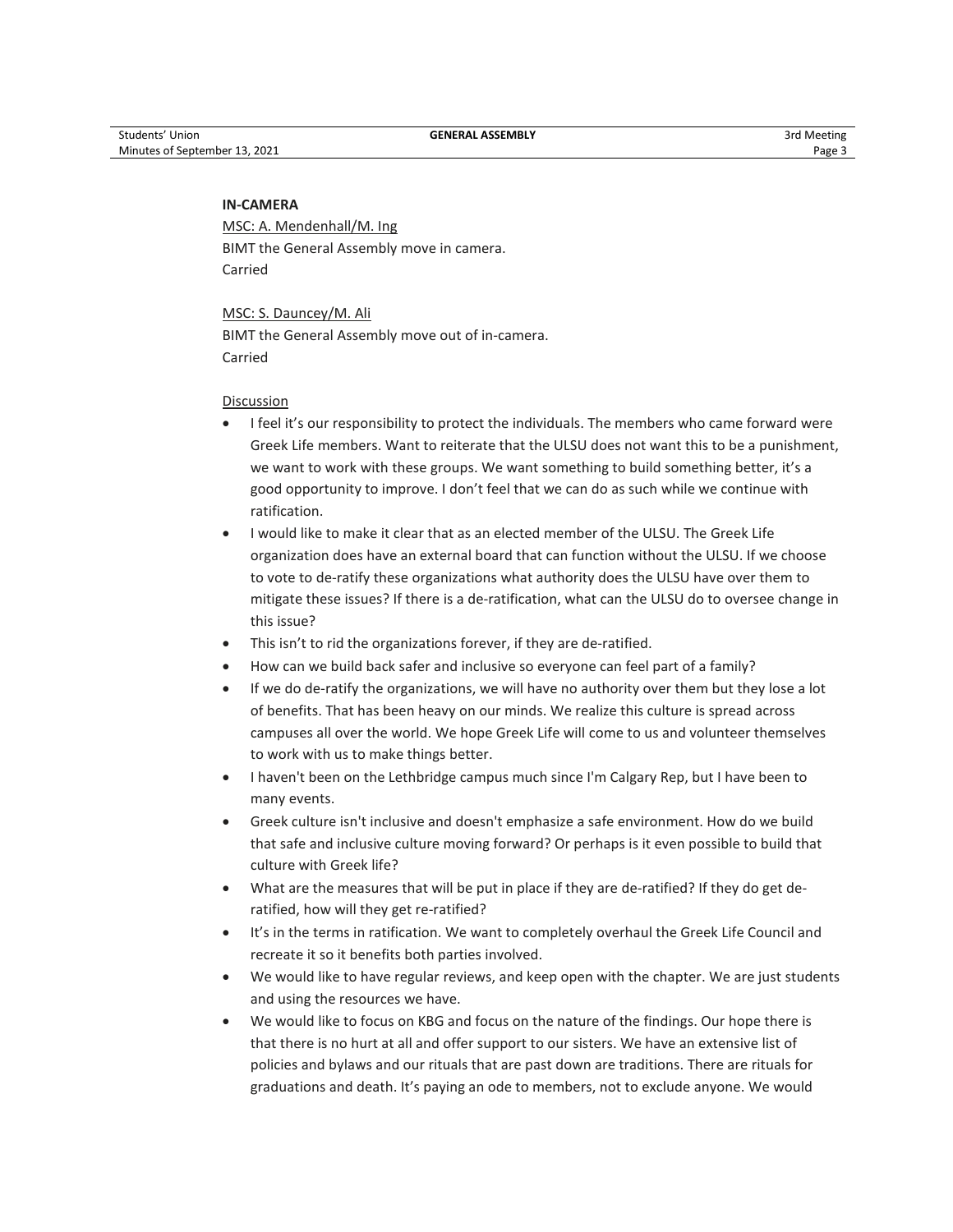## **IN-CAMERA**

MSC: A. Mendenhall/M. Ing BIMT the General Assembly move in camera. Carried

MSC: S. Dauncey/M. Ali BIMT the General Assembly move out of in-camera. Carried

## Discussion

- I feel it's our responsibility to protect the individuals. The members who came forward were Greek Life members. Want to reiterate that the ULSU does not want this to be a punishment, we want to work with these groups. We want something to build something better, it's a good opportunity to improve. I don't feel that we can do as such while we continue with ratification.
- I would like to make it clear that as an elected member of the ULSU. The Greek Life organization does have an external board that can function without the ULSU. If we choose to vote to de-ratify these organizations what authority does the ULSU have over them to mitigate these issues? If there is a de-ratification, what can the ULSU do to oversee change in this issue?
- This isn't to rid the organizations forever, if they are de-ratified.
- How can we build back safer and inclusive so everyone can feel part of a family?
- If we do de-ratify the organizations, we will have no authority over them but they lose a lot of benefits. That has been heavy on our minds. We realize this culture is spread across campuses all over the world. We hope Greek Life will come to us and volunteer themselves to work with us to make things better.
- I haven't been on the Lethbridge campus much since I'm Calgary Rep, but I have been to many events.
- Greek culture isn't inclusive and doesn't emphasize a safe environment. How do we build that safe and inclusive culture moving forward? Or perhaps is it even possible to build that culture with Greek life?
- What are the measures that will be put in place if they are de-ratified? If they do get deratified, how will they get re-ratified?
- It's in the terms in ratification. We want to completely overhaul the Greek Life Council and recreate it so it benefits both parties involved.
- We would like to have regular reviews, and keep open with the chapter. We are just students and using the resources we have.
- We would like to focus on KBG and focus on the nature of the findings. Our hope there is that there is no hurt at all and offer support to our sisters. We have an extensive list of policies and bylaws and our rituals that are past down are traditions. There are rituals for graduations and death. It's paying an ode to members, not to exclude anyone. We would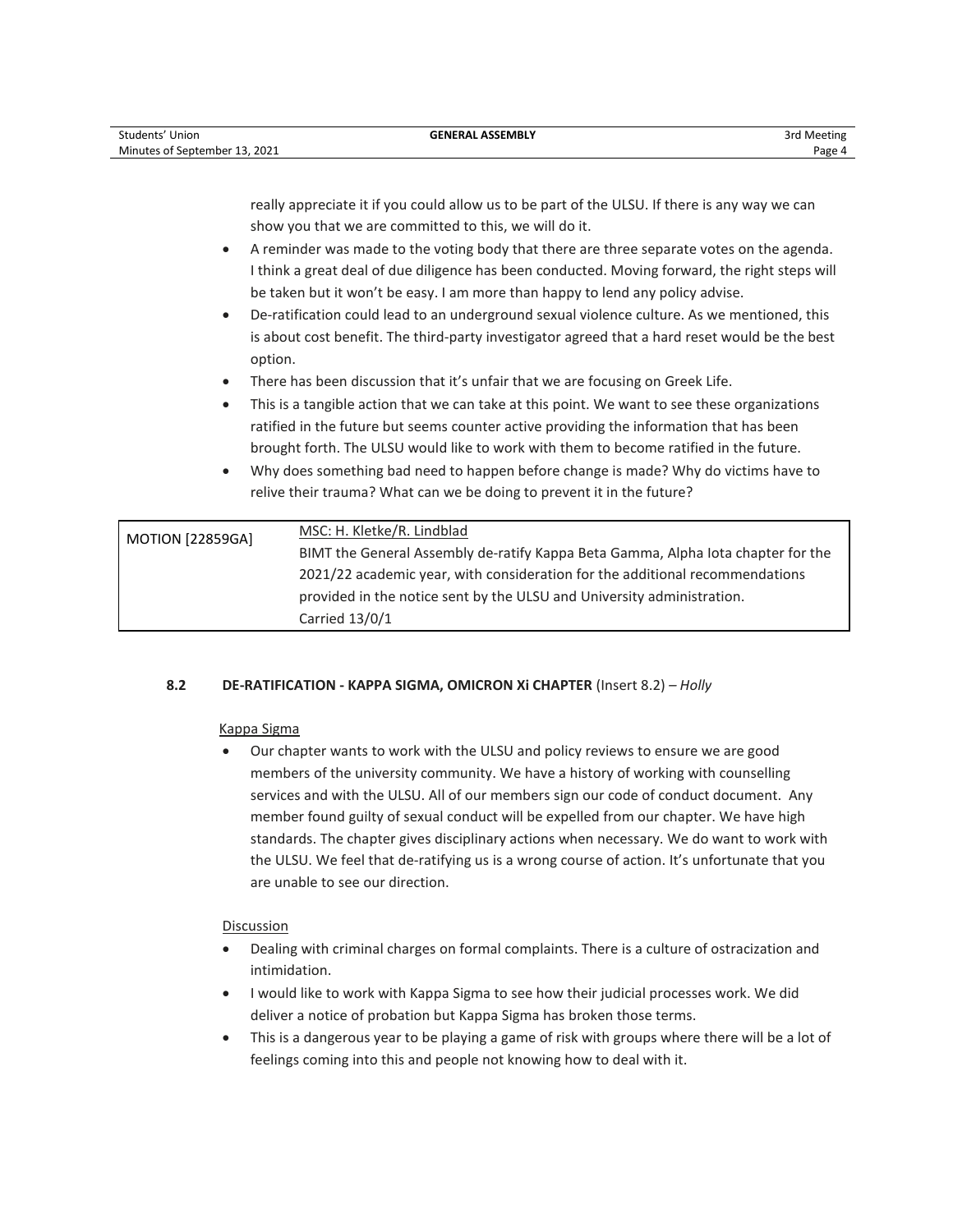| Students' Union               | <b>GENERAL ASSEMBLY</b> | 3rd Meeting |
|-------------------------------|-------------------------|-------------|
| Minutes of September 13, 2021 |                         | Page 4      |

really appreciate it if you could allow us to be part of the ULSU. If there is any way we can show you that we are committed to this, we will do it.

- A reminder was made to the voting body that there are three separate votes on the agenda. I think a great deal of due diligence has been conducted. Moving forward, the right steps will be taken but it won't be easy. I am more than happy to lend any policy advise.
- De-ratification could lead to an underground sexual violence culture. As we mentioned, this is about cost benefit. The third-party investigator agreed that a hard reset would be the best option.
- There has been discussion that it's unfair that we are focusing on Greek Life.
- This is a tangible action that we can take at this point. We want to see these organizations ratified in the future but seems counter active providing the information that has been brought forth. The ULSU would like to work with them to become ratified in the future.
- Why does something bad need to happen before change is made? Why do victims have to relive their trauma? What can we be doing to prevent it in the future?

| <b>MOTION [22859GA]</b> | MSC: H. Kletke/R. Lindblad                                                       |
|-------------------------|----------------------------------------------------------------------------------|
|                         | BIMT the General Assembly de-ratify Kappa Beta Gamma, Alpha lota chapter for the |
|                         | 2021/22 academic year, with consideration for the additional recommendations     |
|                         | provided in the notice sent by the ULSU and University administration.           |
|                         | Carried 13/0/1                                                                   |

## **8.2 DE-RATIFICATION - KAPPA SIGMA, OMICRON Xi CHAPTER** (Insert 8.2) *– Holly*

## Kappa Sigma

• Our chapter wants to work with the ULSU and policy reviews to ensure we are good members of the university community. We have a history of working with counselling services and with the ULSU. All of our members sign our code of conduct document. Any member found guilty of sexual conduct will be expelled from our chapter. We have high standards. The chapter gives disciplinary actions when necessary. We do want to work with the ULSU. We feel that de-ratifying us is a wrong course of action. It's unfortunate that you are unable to see our direction.

## Discussion

- Dealing with criminal charges on formal complaints. There is a culture of ostracization and intimidation.
- I would like to work with Kappa Sigma to see how their judicial processes work. We did deliver a notice of probation but Kappa Sigma has broken those terms.
- This is a dangerous year to be playing a game of risk with groups where there will be a lot of feelings coming into this and people not knowing how to deal with it.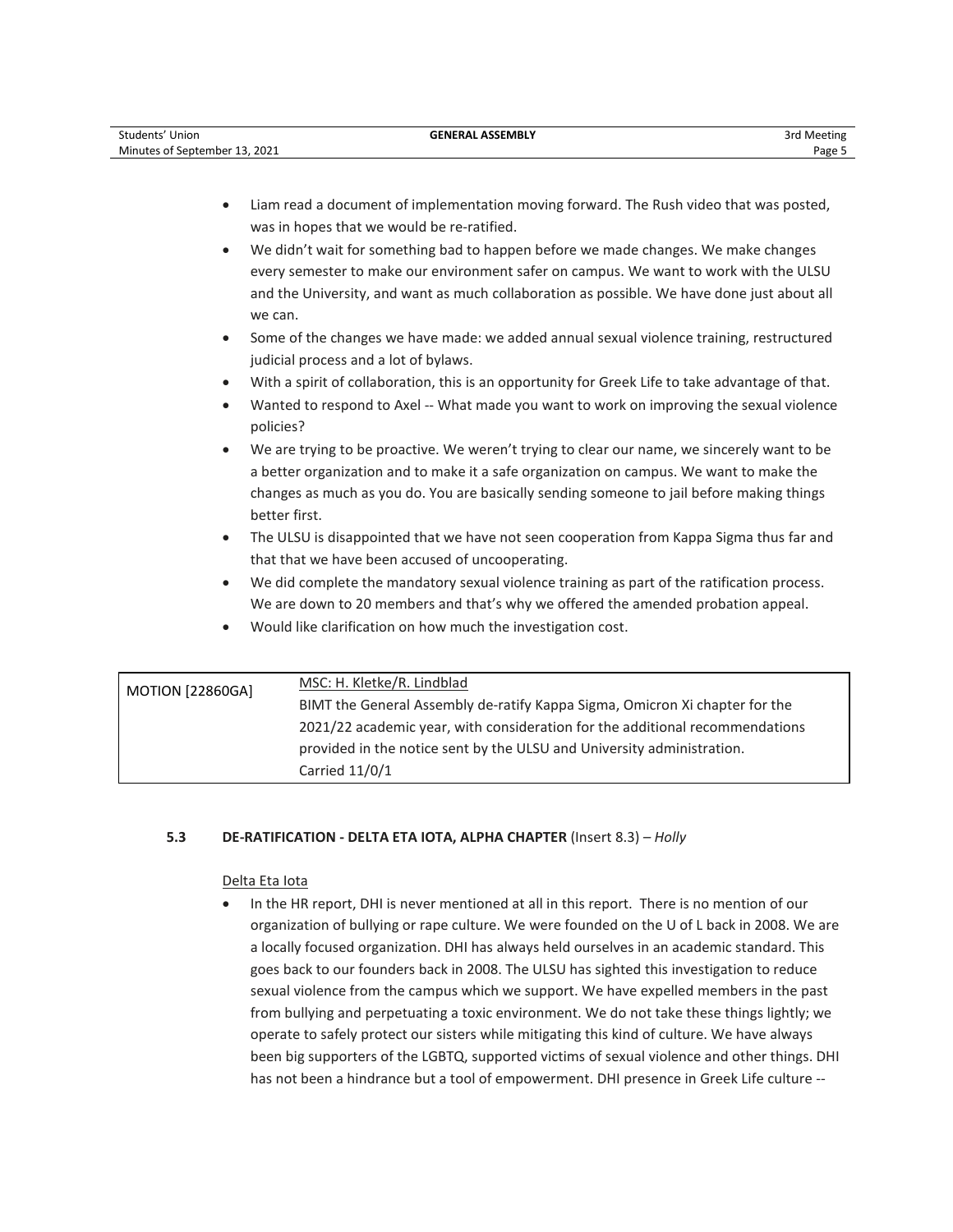| Students' Union               | <b>GENERAL ASSEMBLY</b> | 3rd Meeting |
|-------------------------------|-------------------------|-------------|
| Minutes of September 13, 2021 |                         | Page:       |

- Liam read a document of implementation moving forward. The Rush video that was posted, was in hopes that we would be re-ratified.
- We didn't wait for something bad to happen before we made changes. We make changes every semester to make our environment safer on campus. We want to work with the ULSU and the University, and want as much collaboration as possible. We have done just about all we can.
- Some of the changes we have made: we added annual sexual violence training, restructured judicial process and a lot of bylaws.
- With a spirit of collaboration, this is an opportunity for Greek Life to take advantage of that.
- Wanted to respond to Axel -- What made you want to work on improving the sexual violence policies?
- We are trying to be proactive. We weren't trying to clear our name, we sincerely want to be a better organization and to make it a safe organization on campus. We want to make the changes as much as you do. You are basically sending someone to jail before making things better first.
- The ULSU is disappointed that we have not seen cooperation from Kappa Sigma thus far and that that we have been accused of uncooperating.
- We did complete the mandatory sexual violence training as part of the ratification process. We are down to 20 members and that's why we offered the amended probation appeal.
- Would like clarification on how much the investigation cost.

| <b>MOTION [22860GA]</b> | MSC: H. Kletke/R. Lindblad                                                   |
|-------------------------|------------------------------------------------------------------------------|
|                         | BIMT the General Assembly de-ratify Kappa Sigma, Omicron Xi chapter for the  |
|                         | 2021/22 academic year, with consideration for the additional recommendations |
|                         | provided in the notice sent by the ULSU and University administration.       |
|                         | Carried $11/0/1$                                                             |

## **5.3 DE-RATIFICATION - DELTA ETA IOTA, ALPHA CHAPTER** (Insert 8.3) *– Holly*

## Delta Eta Iota

• In the HR report, DHI is never mentioned at all in this report. There is no mention of our organization of bullying or rape culture. We were founded on the U of L back in 2008. We are a locally focused organization. DHI has always held ourselves in an academic standard. This goes back to our founders back in 2008. The ULSU has sighted this investigation to reduce sexual violence from the campus which we support. We have expelled members in the past from bullying and perpetuating a toxic environment. We do not take these things lightly; we operate to safely protect our sisters while mitigating this kind of culture. We have always been big supporters of the LGBTQ, supported victims of sexual violence and other things. DHI has not been a hindrance but a tool of empowerment. DHI presence in Greek Life culture --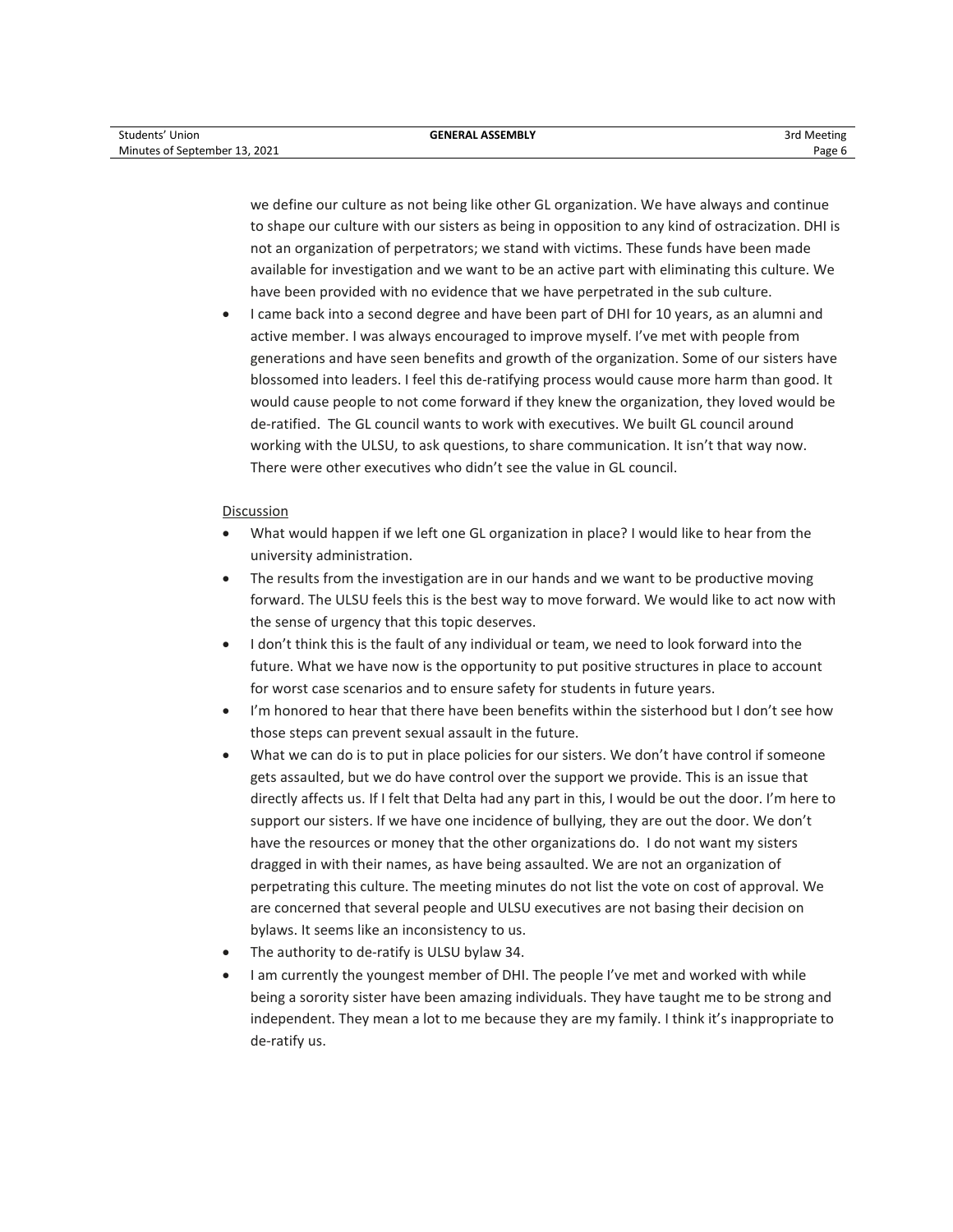we define our culture as not being like other GL organization. We have always and continue to shape our culture with our sisters as being in opposition to any kind of ostracization. DHI is not an organization of perpetrators; we stand with victims. These funds have been made available for investigation and we want to be an active part with eliminating this culture. We have been provided with no evidence that we have perpetrated in the sub culture.

• I came back into a second degree and have been part of DHI for 10 years, as an alumni and active member. I was always encouraged to improve myself. I've met with people from generations and have seen benefits and growth of the organization. Some of our sisters have blossomed into leaders. I feel this de-ratifying process would cause more harm than good. It would cause people to not come forward if they knew the organization, they loved would be de-ratified. The GL council wants to work with executives. We built GL council around working with the ULSU, to ask questions, to share communication. It isn't that way now. There were other executives who didn't see the value in GL council.

## Discussion

- What would happen if we left one GL organization in place? I would like to hear from the university administration.
- The results from the investigation are in our hands and we want to be productive moving forward. The ULSU feels this is the best way to move forward. We would like to act now with the sense of urgency that this topic deserves.
- I don't think this is the fault of any individual or team, we need to look forward into the future. What we have now is the opportunity to put positive structures in place to account for worst case scenarios and to ensure safety for students in future years.
- I'm honored to hear that there have been benefits within the sisterhood but I don't see how those steps can prevent sexual assault in the future.
- What we can do is to put in place policies for our sisters. We don't have control if someone gets assaulted, but we do have control over the support we provide. This is an issue that directly affects us. If I felt that Delta had any part in this, I would be out the door. I'm here to support our sisters. If we have one incidence of bullying, they are out the door. We don't have the resources or money that the other organizations do. I do not want my sisters dragged in with their names, as have being assaulted. We are not an organization of perpetrating this culture. The meeting minutes do not list the vote on cost of approval. We are concerned that several people and ULSU executives are not basing their decision on bylaws. It seems like an inconsistency to us.
- The authority to de-ratify is ULSU bylaw 34.
- I am currently the youngest member of DHI. The people I've met and worked with while being a sorority sister have been amazing individuals. They have taught me to be strong and independent. They mean a lot to me because they are my family. I think it's inappropriate to de-ratify us.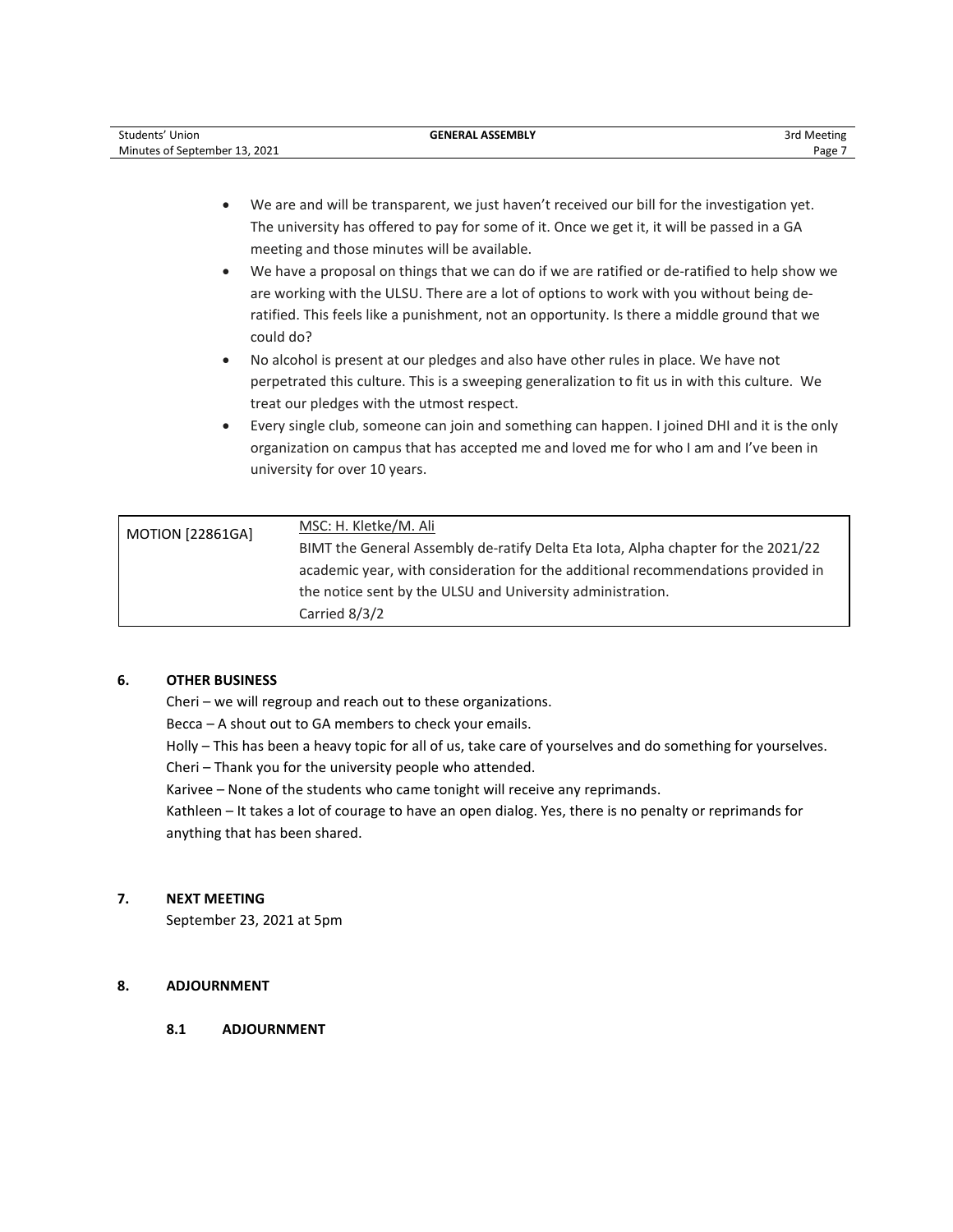| Students' Union               | <b>GENERAL ASSEMBLY</b> | 3rd Meeting |
|-------------------------------|-------------------------|-------------|
| Minutes of September 13, 2021 |                         | Page        |

- We are and will be transparent, we just haven't received our bill for the investigation yet. The university has offered to pay for some of it. Once we get it, it will be passed in a GA meeting and those minutes will be available.
- We have a proposal on things that we can do if we are ratified or de-ratified to help show we are working with the ULSU. There are a lot of options to work with you without being deratified. This feels like a punishment, not an opportunity. Is there a middle ground that we could do?
- No alcohol is present at our pledges and also have other rules in place. We have not perpetrated this culture. This is a sweeping generalization to fit us in with this culture. We treat our pledges with the utmost respect.
- Every single club, someone can join and something can happen. I joined DHI and it is the only organization on campus that has accepted me and loved me for who I am and I've been in university for over 10 years.

| <b>MOTION [22861GA]</b> | <u>MSC: H. Kletke/M. Ali</u>                                                      |
|-------------------------|-----------------------------------------------------------------------------------|
|                         | BIMT the General Assembly de-ratify Delta Eta Iota, Alpha chapter for the 2021/22 |
|                         | academic year, with consideration for the additional recommendations provided in  |
|                         | the notice sent by the ULSU and University administration.                        |
|                         | Carried 8/3/2                                                                     |

## **6. OTHER BUSINESS**

Cheri – we will regroup and reach out to these organizations.

Becca – A shout out to GA members to check your emails.

Holly – This has been a heavy topic for all of us, take care of yourselves and do something for yourselves.

Cheri – Thank you for the university people who attended.

Karivee – None of the students who came tonight will receive any reprimands.

Kathleen – It takes a lot of courage to have an open dialog. Yes, there is no penalty or reprimands for anything that has been shared.

## **7. NEXT MEETING**

September 23, 2021 at 5pm

## **8. ADJOURNMENT**

## **8.1 ADJOURNMENT**